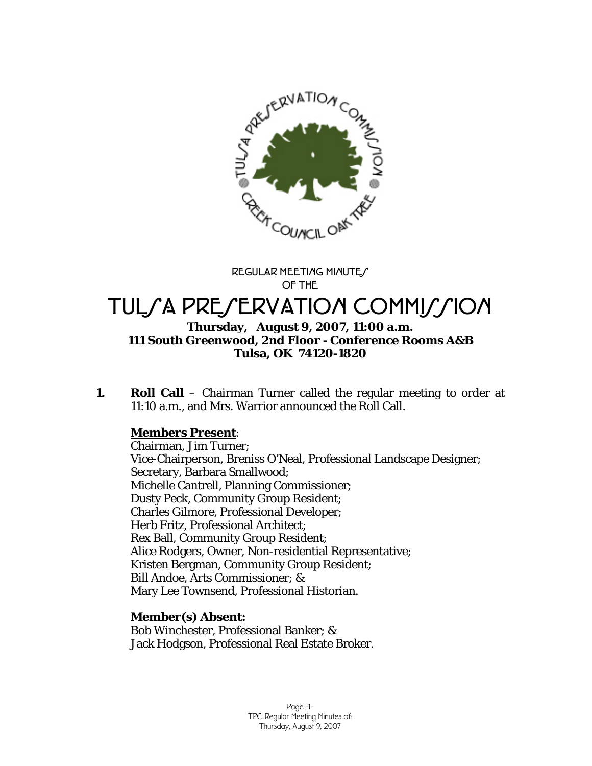

**REGULAR MEETING MINUTES OF THE** 

# TULSA PRESERVATION COMMISSION

## **Thursday, August 9, 2007, 11:00 a.m. 111 South Greenwood, 2nd Floor - Conference Rooms A&B Tulsa, OK 74120-1820**

**1. Roll Call** – Chairman Turner called the regular meeting to order at 11:10 a.m., and Mrs. Warrior announced the Roll Call.

# **Members Present**:

Chairman, Jim Turner; Vice-Chairperson, Breniss O'Neal, Professional Landscape Designer; Secretary, Barbara Smallwood; Michelle Cantrell, Planning Commissioner; Dusty Peck, Community Group Resident; Charles Gilmore, Professional Developer; Herb Fritz, Professional Architect; Rex Ball, Community Group Resident; Alice Rodgers, Owner, Non-residential Representative; Kristen Bergman, Community Group Resident; Bill Andoe, Arts Commissioner; & Mary Lee Townsend, Professional Historian.

## **Member(s) Absent:**

Bob Winchester, Professional Banker; & Jack Hodgson, Professional Real Estate Broker.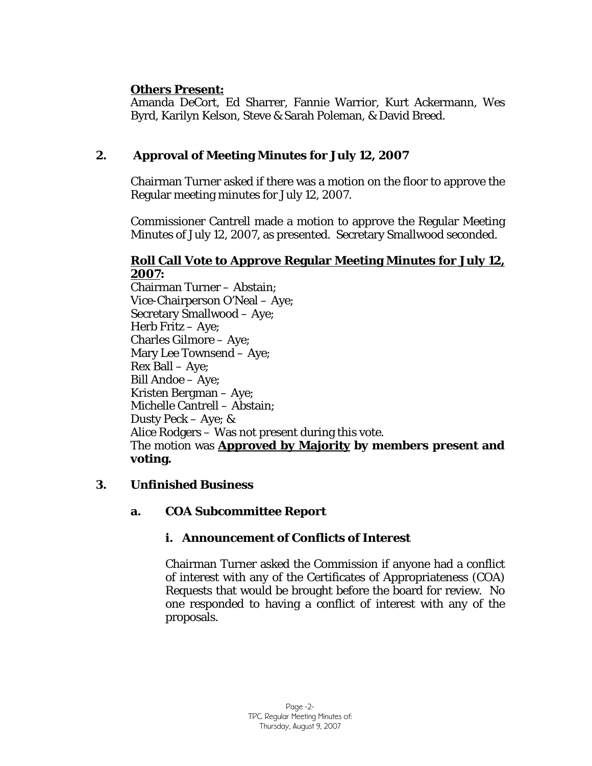# **Others Present:**

Amanda DeCort, Ed Sharrer, Fannie Warrior, Kurt Ackermann, Wes Byrd, Karilyn Kelson, Steve & Sarah Poleman, & David Breed.

# **2. Approval of Meeting Minutes for July 12, 2007**

Chairman Turner asked if there was a motion on the floor to approve the Regular meeting minutes for July 12, 2007.

Commissioner Cantrell made a motion to approve the Regular Meeting Minutes of July 12, 2007, as presented. Secretary Smallwood seconded.

## **Roll Call Vote to Approve Regular Meeting Minutes for July 12, 2007:**

Chairman Turner – Abstain; Vice-Chairperson O'Neal – Aye; Secretary Smallwood – Aye; Herb Fritz – Aye; Charles Gilmore – Aye; Mary Lee Townsend – Aye; Rex Ball – Aye; Bill Andoe – Aye; Kristen Bergman – Aye; Michelle Cantrell – Abstain; Dusty Peck – Aye; & Alice Rodgers – Was not present during this vote. The motion was **Approved by Majority by members present and voting.** 

# **3. Unfinished Business**

## **a. COA Subcommittee Report**

# **i. Announcement of Conflicts of Interest**

Chairman Turner asked the Commission if anyone had a conflict of interest with any of the Certificates of Appropriateness (COA) Requests that would be brought before the board for review. No one responded to having a conflict of interest with any of the proposals.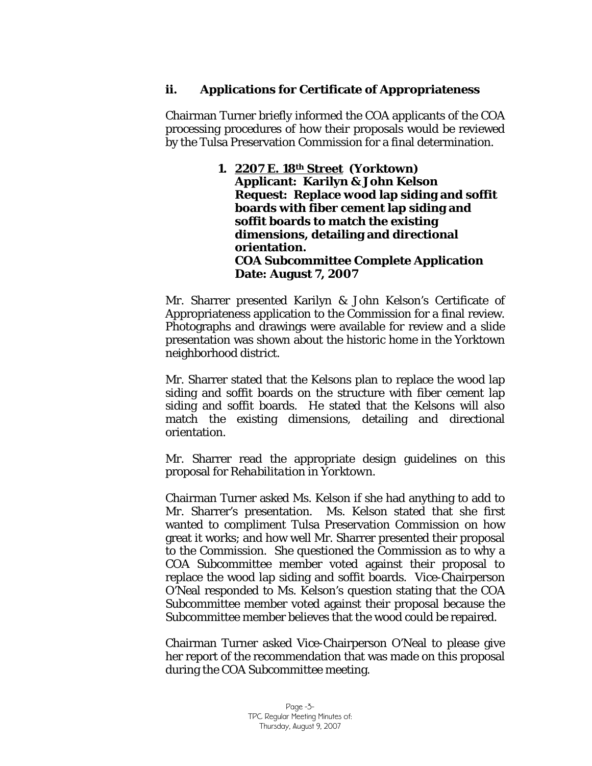# **ii. Applications for Certificate of Appropriateness**

Chairman Turner briefly informed the COA applicants of the COA processing procedures of how their proposals would be reviewed by the Tulsa Preservation Commission for a final determination.

> **1. 2207 E. 18th Street (Yorktown) Applicant: Karilyn & John Kelson Request: Replace wood lap siding and soffit boards with fiber cement lap siding and soffit boards to match the existing dimensions, detailing and directional orientation. COA Subcommittee Complete Application Date: August 7, 2007**

Mr. Sharrer presented Karilyn & John Kelson's Certificate of Appropriateness application to the Commission for a final review. Photographs and drawings were available for review and a slide presentation was shown about the historic home in the Yorktown neighborhood district.

Mr. Sharrer stated that the Kelsons plan to replace the wood lap siding and soffit boards on the structure with fiber cement lap siding and soffit boards. He stated that the Kelsons will also match the existing dimensions, detailing and directional orientation.

Mr. Sharrer read the appropriate design guidelines on this proposal for *Rehabilitation in Yorktown.* 

Chairman Turner asked Ms. Kelson if she had anything to add to Mr. Sharrer's presentation. Ms. Kelson stated that she first wanted to compliment Tulsa Preservation Commission on how great it works; and how well Mr. Sharrer presented their proposal to the Commission. She questioned the Commission as to why a COA Subcommittee member voted against their proposal to replace the wood lap siding and soffit boards. Vice-Chairperson O'Neal responded to Ms. Kelson's question stating that the COA Subcommittee member voted against their proposal because the Subcommittee member believes that the wood could be repaired.

Chairman Turner asked Vice-Chairperson O'Neal to please give her report of the recommendation that was made on this proposal during the COA Subcommittee meeting.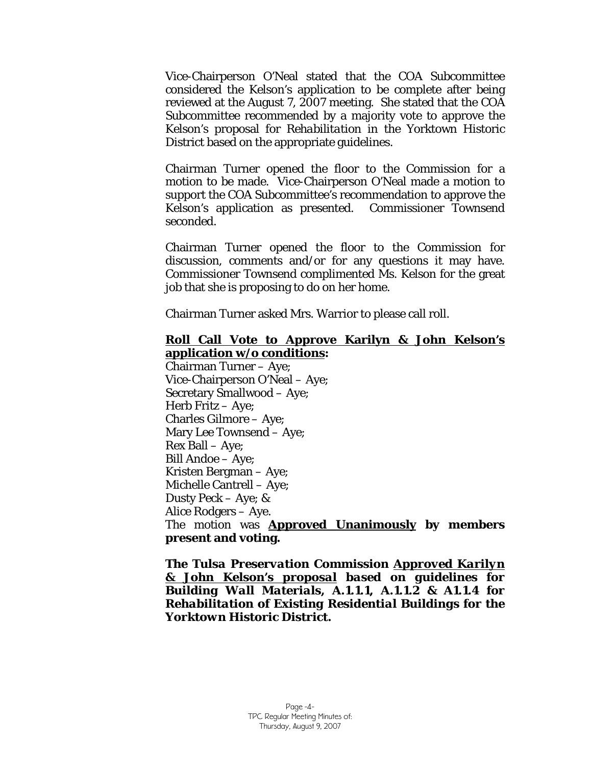Vice-Chairperson O'Neal stated that the COA Subcommittee considered the Kelson's application to be complete after being reviewed at the August 7, 2007 meeting. She stated that the COA Subcommittee recommended by a majority vote to approve the Kelson's proposal for *Rehabilitation* in the Yorktown Historic District based on the appropriate guidelines.

Chairman Turner opened the floor to the Commission for a motion to be made. Vice-Chairperson O'Neal made a motion to support the COA Subcommittee's recommendation to approve the Kelson's application as presented. Commissioner Townsend seconded.

Chairman Turner opened the floor to the Commission for discussion, comments and/or for any questions it may have. Commissioner Townsend complimented Ms. Kelson for the great job that she is proposing to do on her home.

Chairman Turner asked Mrs. Warrior to please call roll.

## **Roll Call Vote to Approve Karilyn & John Kelson's application w/o conditions:**

Chairman Turner – Aye; Vice-Chairperson O'Neal – Aye; Secretary Smallwood – Aye; Herb Fritz – Aye; Charles Gilmore – Aye; Mary Lee Townsend – Aye; Rex Ball – Aye; Bill Andoe – Aye; Kristen Bergman – Aye; Michelle Cantrell – Aye; Dusty Peck – Aye; & Alice Rodgers – Aye. The motion was **Approved Unanimously by members present and voting.** 

*The Tulsa Preservation Commission Approved Karilyn & John Kelson's proposal based on guidelines for Building Wall Materials, A.1.1.1, A.1.1.2 & A1.1.4 for Rehabilitation of Existing Residential Buildings for the Yorktown Historic District.*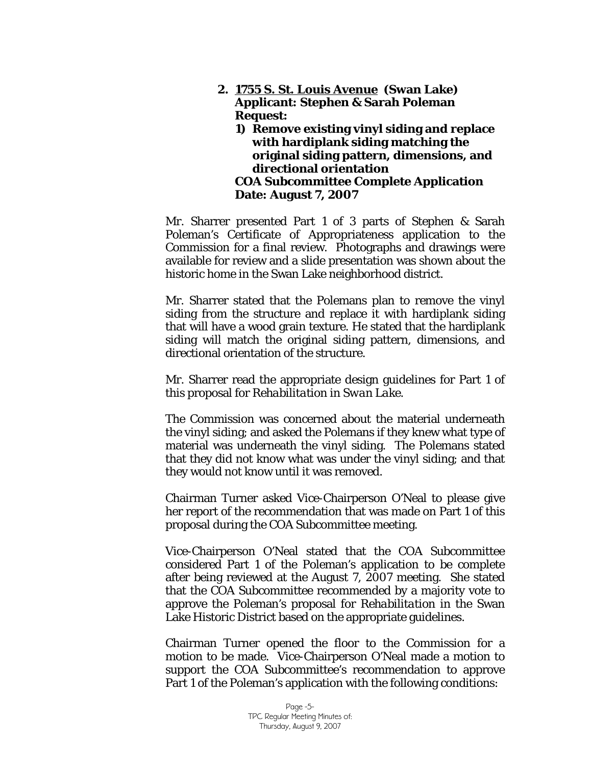- **2. 1755 S. St. Louis Avenue (Swan Lake) Applicant: Stephen & Sarah Poleman Request:** 
	- **1) Remove existing vinyl siding and replace with hardiplank siding matching the original siding pattern, dimensions, and directional orientation COA Subcommittee Complete Application Date: August 7, 2007**

Mr. Sharrer presented Part 1 of 3 parts of Stephen & Sarah Poleman's Certificate of Appropriateness application to the Commission for a final review. Photographs and drawings were available for review and a slide presentation was shown about the historic home in the Swan Lake neighborhood district.

Mr. Sharrer stated that the Polemans plan to remove the vinyl siding from the structure and replace it with hardiplank siding that will have a wood grain texture. He stated that the hardiplank siding will match the original siding pattern, dimensions, and directional orientation of the structure.

Mr. Sharrer read the appropriate design guidelines for Part 1 of this proposal for *Rehabilitation in Swan Lake.* 

The Commission was concerned about the material underneath the vinyl siding; and asked the Polemans if they knew what type of material was underneath the vinyl siding. The Polemans stated that they did not know what was under the vinyl siding; and that they would not know until it was removed.

Chairman Turner asked Vice-Chairperson O'Neal to please give her report of the recommendation that was made on Part 1 of this proposal during the COA Subcommittee meeting.

Vice-Chairperson O'Neal stated that the COA Subcommittee considered Part 1 of the Poleman's application to be complete after being reviewed at the August 7, 2007 meeting. She stated that the COA Subcommittee recommended by a majority vote to approve the Poleman's proposal for *Rehabilitation* in the Swan Lake Historic District based on the appropriate guidelines.

Chairman Turner opened the floor to the Commission for a motion to be made. Vice-Chairperson O'Neal made a motion to support the COA Subcommittee's recommendation to approve Part 1 of the Poleman's application with the following conditions: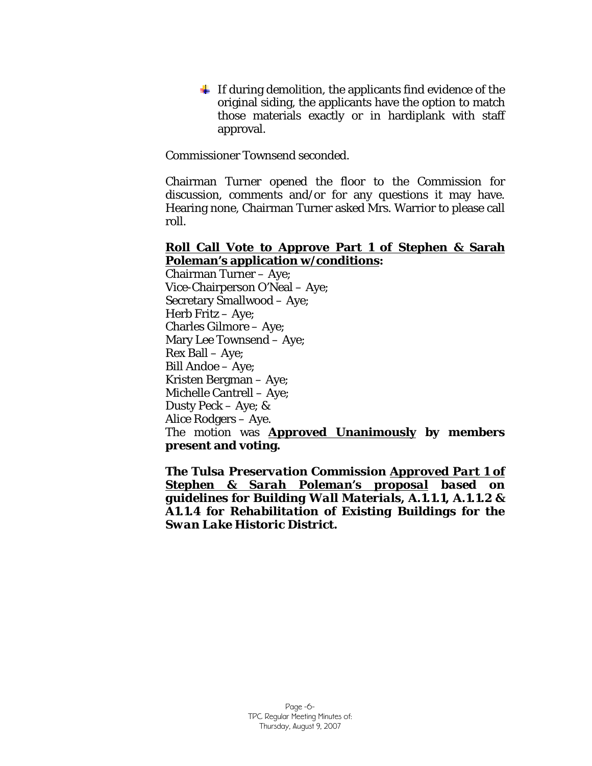$\ddot{\text{I}}$  If during demolition, the applicants find evidence of the original siding, the applicants have the option to match those materials exactly or in hardiplank with staff approval.

Commissioner Townsend seconded.

Chairman Turner opened the floor to the Commission for discussion, comments and/or for any questions it may have. Hearing none, Chairman Turner asked Mrs. Warrior to please call roll.

#### **Roll Call Vote to Approve Part 1 of Stephen & Sarah Poleman's application w/conditions:**

Chairman Turner – Aye; Vice-Chairperson O'Neal – Aye; Secretary Smallwood – Aye; Herb Fritz – Aye; Charles Gilmore – Aye; Mary Lee Townsend – Aye; Rex Ball – Aye; Bill Andoe – Aye; Kristen Bergman – Aye; Michelle Cantrell – Aye; Dusty Peck – Aye; & Alice Rodgers – Aye. The motion was **Approved Unanimously by members present and voting.** 

*The Tulsa Preservation Commission Approved Part 1 of Stephen & Sarah Poleman's proposal based on guidelines for Building Wall Materials, A.1.1.1, A.1.1.2 & A1.1.4 for Rehabilitation of Existing Buildings for the Swan Lake Historic District.*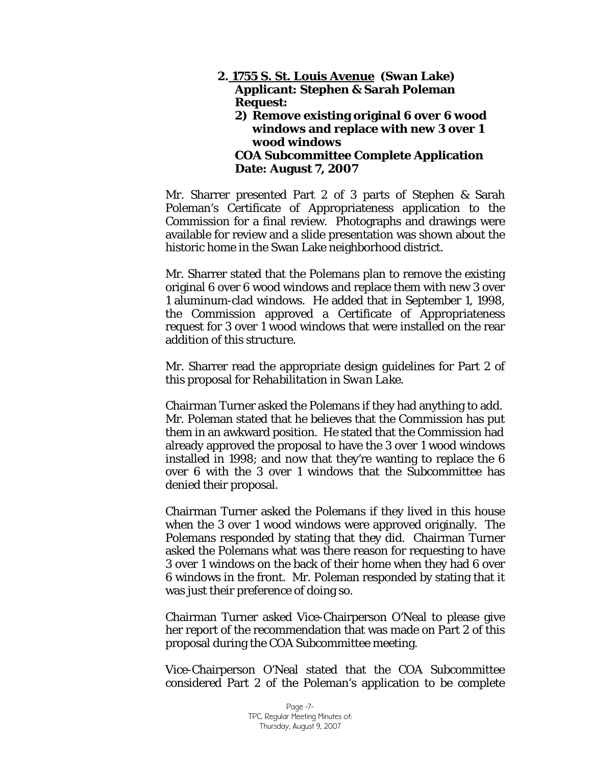#### **2. 1755 S. St. Louis Avenue (Swan Lake) Applicant: Stephen & Sarah Poleman Request: 2) Remove existing original 6 over 6 wood windows and replace with new 3 over 1 wood windows COA Subcommittee Complete Application Date: August 7, 2007**

Mr. Sharrer presented Part 2 of 3 parts of Stephen & Sarah Poleman's Certificate of Appropriateness application to the Commission for a final review. Photographs and drawings were available for review and a slide presentation was shown about the historic home in the Swan Lake neighborhood district.

Mr. Sharrer stated that the Polemans plan to remove the existing original 6 over 6 wood windows and replace them with new 3 over 1 aluminum-clad windows. He added that in September 1, 1998, the Commission approved a Certificate of Appropriateness request for 3 over 1 wood windows that were installed on the rear addition of this structure.

Mr. Sharrer read the appropriate design guidelines for Part 2 of this proposal for *Rehabilitation in Swan Lake.* 

Chairman Turner asked the Polemans if they had anything to add. Mr. Poleman stated that he believes that the Commission has put them in an awkward position. He stated that the Commission had already approved the proposal to have the 3 over 1 wood windows installed in 1998; and now that they're wanting to replace the 6 over 6 with the 3 over 1 windows that the Subcommittee has denied their proposal.

Chairman Turner asked the Polemans if they lived in this house when the 3 over 1 wood windows were approved originally. The Polemans responded by stating that they did. Chairman Turner asked the Polemans what was there reason for requesting to have 3 over 1 windows on the back of their home when they had 6 over 6 windows in the front. Mr. Poleman responded by stating that it was just their preference of doing so.

Chairman Turner asked Vice-Chairperson O'Neal to please give her report of the recommendation that was made on Part 2 of this proposal during the COA Subcommittee meeting.

Vice-Chairperson O'Neal stated that the COA Subcommittee considered Part 2 of the Poleman's application to be complete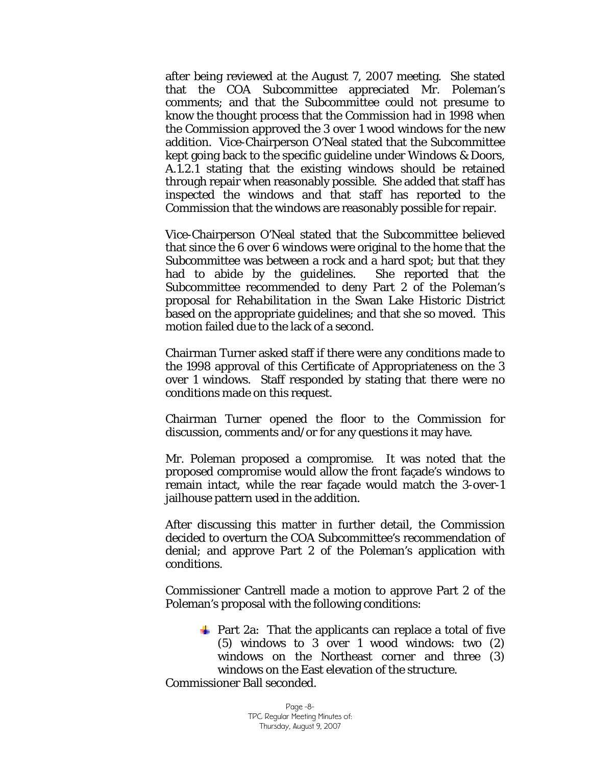after being reviewed at the August 7, 2007 meeting. She stated that the COA Subcommittee appreciated Mr. Poleman's comments; and that the Subcommittee could not presume to know the thought process that the Commission had in 1998 when the Commission approved the 3 over 1 wood windows for the new addition. Vice-Chairperson O'Neal stated that the Subcommittee kept going back to the specific guideline under Windows & Doors, A.1.2.1 stating that the existing windows should be retained through repair when reasonably possible. She added that staff has inspected the windows and that staff has reported to the Commission that the windows are reasonably possible for repair.

Vice-Chairperson O'Neal stated that the Subcommittee believed that since the 6 over 6 windows were original to the home that the Subcommittee was between a rock and a hard spot; but that they had to abide by the guidelines. She reported that the Subcommittee recommended to deny Part 2 of the Poleman's proposal for *Rehabilitation* in the Swan Lake Historic District based on the appropriate guidelines; and that she so moved. This motion failed due to the lack of a *second.*

Chairman Turner asked staff if there were any conditions made to the 1998 approval of this Certificate of Appropriateness on the 3 over 1 windows. Staff responded by stating that there were no conditions made on this request.

Chairman Turner opened the floor to the Commission for discussion, comments and/or for any questions it may have.

Mr. Poleman proposed a compromise. It was noted that the proposed compromise would allow the front façade's windows to remain intact, while the rear façade would match the 3-over-1 jailhouse pattern used in the addition.

After discussing this matter in further detail, the Commission decided to overturn the COA Subcommittee's recommendation of denial; and approve Part 2 of the Poleman's application with conditions.

Commissioner Cantrell made a motion to approve Part 2 of the Poleman's proposal with the following conditions:

 $\frac{1}{2}$  Part 2a: That the applicants can replace a total of five (5) windows to 3 over 1 wood windows: two (2) windows on the Northeast corner and three (3) windows on the East elevation of the structure. Commissioner Ball seconded.

> Page -8- TPC Regular Meeting Minutes of: Thursday, August 9, 2007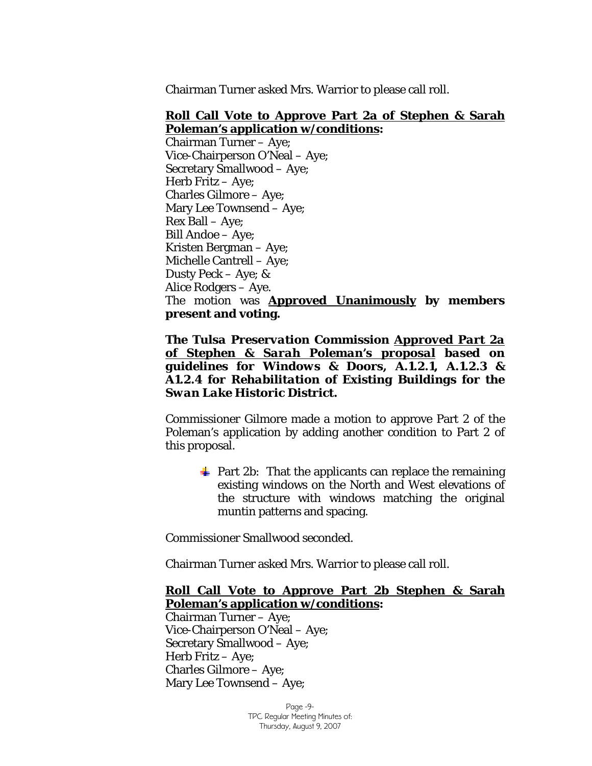Chairman Turner asked Mrs. Warrior to please call roll.

#### **Roll Call Vote to Approve Part 2a of Stephen & Sarah Poleman's application w/conditions:**

Chairman Turner – Aye; Vice-Chairperson O'Neal – Aye; Secretary Smallwood – Aye; Herb Fritz – Aye; Charles Gilmore – Aye; Mary Lee Townsend – Aye; Rex Ball – Aye; Bill Andoe – Aye; Kristen Bergman – Aye; Michelle Cantrell – Aye; Dusty Peck – Aye; & Alice Rodgers – Aye. The motion was **Approved Unanimously by members present and voting.** 

*The Tulsa Preservation Commission Approved Part 2a of Stephen & Sarah Poleman's proposal based on guidelines for Windows & Doors, A.1.2.1, A.1.2.3 & A1.2.4 for Rehabilitation of Existing Buildings for the Swan Lake Historic District.* 

Commissioner Gilmore made a motion to approve Part 2 of the Poleman's application by adding another condition to Part 2 of this proposal.

 $\frac{1}{2}$  Part 2b: That the applicants can replace the remaining existing windows on the North and West elevations of the structure with windows matching the original muntin patterns and spacing.

Commissioner Smallwood seconded.

Chairman Turner asked Mrs. Warrior to please call roll.

## **Roll Call Vote to Approve Part 2b Stephen & Sarah Poleman's application w/conditions:**

Chairman Turner – Aye; Vice-Chairperson O'Neal – Aye; Secretary Smallwood – Aye; Herb Fritz – Aye; Charles Gilmore – Aye; Mary Lee Townsend – Aye;

> Page -9- TPC Regular Meeting Minutes of: Thursday, August 9, 2007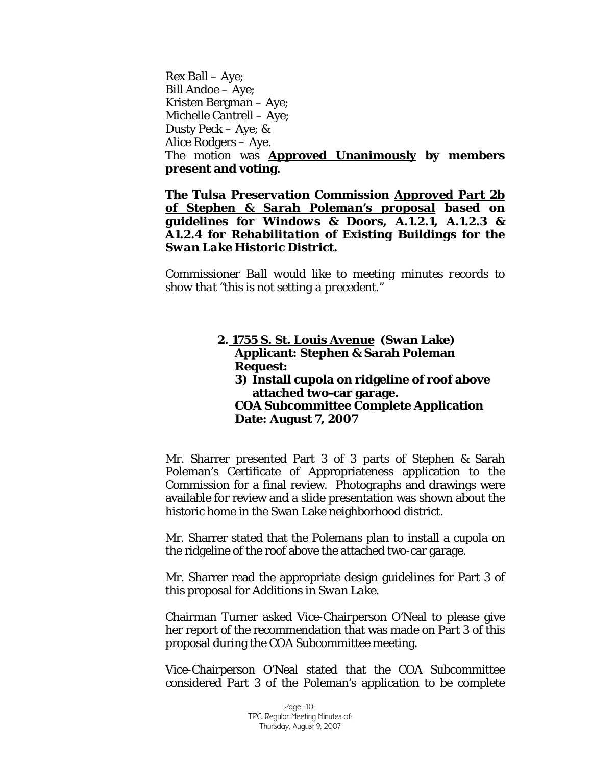Rex Ball – Aye; Bill Andoe – Aye; Kristen Bergman – Aye; Michelle Cantrell – Aye; Dusty Peck – Aye; & Alice Rodgers – Aye. The motion was **Approved Unanimously by members present and voting.** 

*The Tulsa Preservation Commission Approved Part 2b of Stephen & Sarah Poleman's proposal based on guidelines for Windows & Doors, A.1.2.1, A.1.2.3 & A1.2.4 for Rehabilitation of Existing Buildings for the Swan Lake Historic District.* 

*Commissioner Ball would like to meeting minutes records to show that "this is not setting a precedent."* 

#### **2. 1755 S. St. Louis Avenue (Swan Lake) Applicant: Stephen & Sarah Poleman Request: 3) Install cupola on ridgeline of roof above attached two-car garage. COA Subcommittee Complete Application Date: August 7, 2007**

Mr. Sharrer presented Part 3 of 3 parts of Stephen & Sarah Poleman's Certificate of Appropriateness application to the Commission for a final review. Photographs and drawings were available for review and a slide presentation was shown about the historic home in the Swan Lake neighborhood district.

Mr. Sharrer stated that the Polemans plan to install a cupola on the ridgeline of the roof above the attached two-car garage.

Mr. Sharrer read the appropriate design guidelines for Part 3 of this proposal for *Additions in Swan Lake.* 

Chairman Turner asked Vice-Chairperson O'Neal to please give her report of the recommendation that was made on Part 3 of this proposal during the COA Subcommittee meeting.

Vice-Chairperson O'Neal stated that the COA Subcommittee considered Part 3 of the Poleman's application to be complete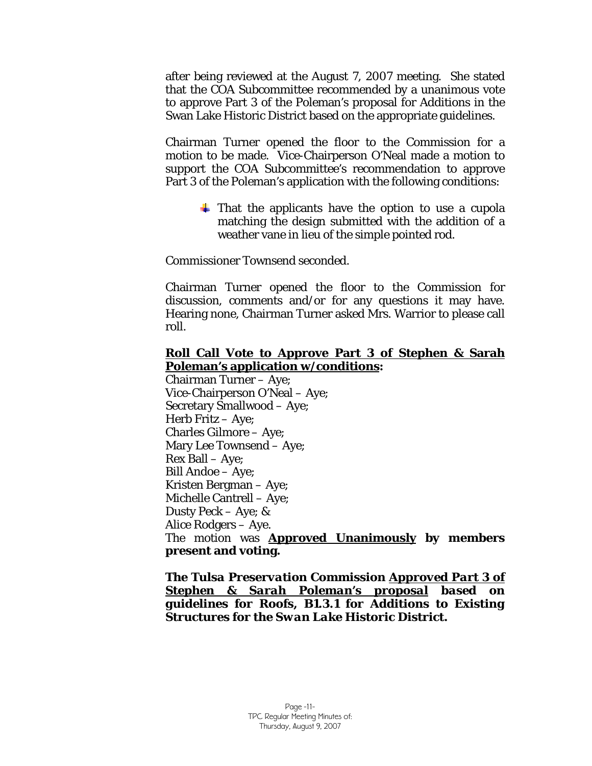after being reviewed at the August 7, 2007 meeting. She stated that the COA Subcommittee recommended by a unanimous vote to approve Part 3 of the Poleman's proposal for *Additions* in the Swan Lake Historic District based on the appropriate guidelines.

Chairman Turner opened the floor to the Commission for a motion to be made. Vice-Chairperson O'Neal made a motion to support the COA Subcommittee's recommendation to approve Part 3 of the Poleman's application with the following conditions:

> $\pm$  That the applicants have the option to use a cupola matching the design submitted with the addition of a weather vane in lieu of the simple pointed rod.

Commissioner Townsend seconded.

Chairman Turner opened the floor to the Commission for discussion, comments and/or for any questions it may have. Hearing none, Chairman Turner asked Mrs. Warrior to please call roll.

# **Roll Call Vote to Approve Part 3 of Stephen & Sarah Poleman's application w/conditions:**

Chairman Turner – Aye; Vice-Chairperson O'Neal – Aye; Secretary Smallwood – Aye; Herb Fritz – Aye; Charles Gilmore – Aye; Mary Lee Townsend – Aye; Rex Ball – Aye; Bill Andoe – Aye; Kristen Bergman – Aye; Michelle Cantrell – Aye; Dusty Peck – Aye; & Alice Rodgers – Aye. The motion was **Approved Unanimously by members present and voting.** 

*The Tulsa Preservation Commission Approved Part 3 of Stephen & Sarah Poleman's proposal based on guidelines for Roofs, B1.3.1 for Additions to Existing Structures for the Swan Lake Historic District.*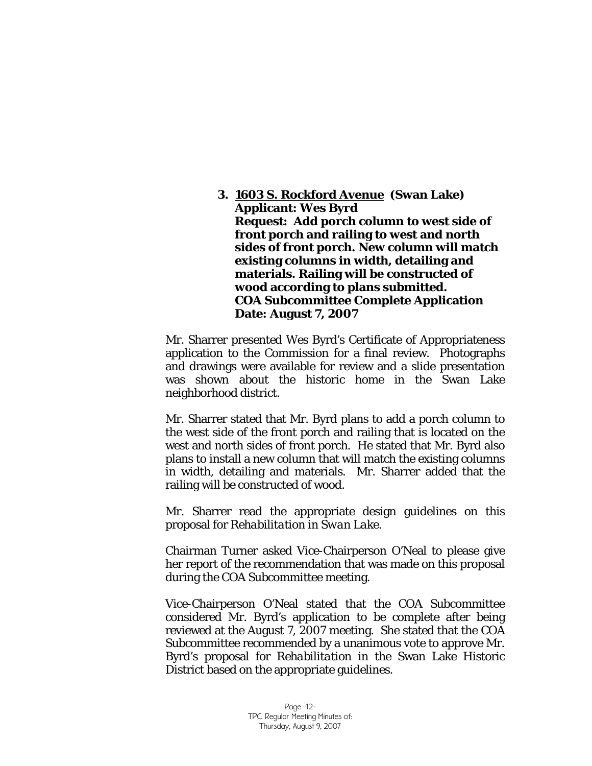**3. 1603 S. Rockford Avenue (Swan Lake) Applicant: Wes Byrd Request: Add porch column to west side of front porch and railing to west and north sides of front porch. New column will match existing columns in width, detailing and materials. Railing will be constructed of wood according to plans submitted. COA Subcommittee Complete Application Date: August 7, 2007** 

Mr. Sharrer presented Wes Byrd's Certificate of Appropriateness application to the Commission for a final review. Photographs and drawings were available for review and a slide presentation was shown about the historic home in the Swan Lake neighborhood district.

Mr. Sharrer stated that Mr. Byrd plans to add a porch column to the west side of the front porch and railing that is located on the west and north sides of front porch. He stated that Mr. Byrd also plans to install a new column that will match the existing columns in width, detailing and materials. Mr. Sharrer added that the railing will be constructed of wood.

Mr. Sharrer read the appropriate design guidelines on this proposal for *Rehabilitation in Swan Lake.* 

Chairman Turner asked Vice-Chairperson O'Neal to please give her report of the recommendation that was made on this proposal during the COA Subcommittee meeting.

Vice-Chairperson O'Neal stated that the COA Subcommittee considered Mr. Byrd's application to be complete after being reviewed at the August 7, 2007 meeting. She stated that the COA Subcommittee recommended by a unanimous vote to approve Mr. Byrd's proposal for *Rehabilitation* in the Swan Lake Historic District based on the appropriate guidelines.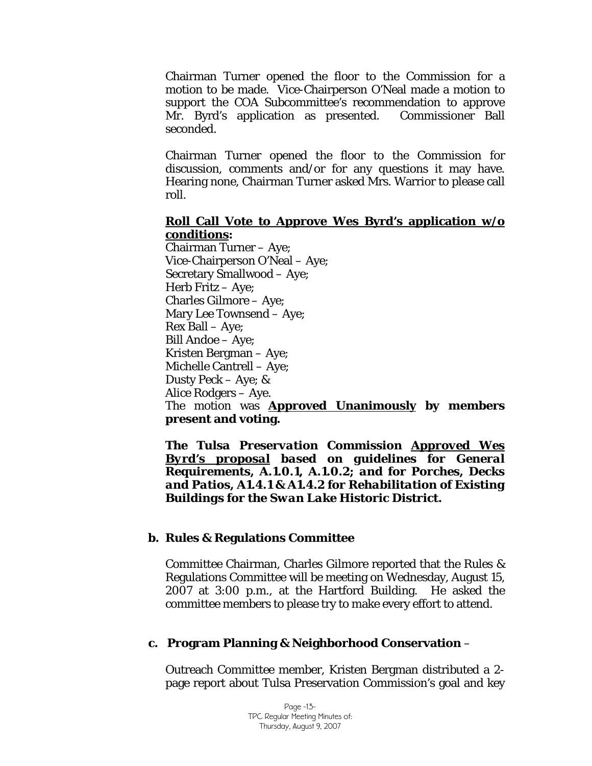Chairman Turner opened the floor to the Commission for a motion to be made. Vice-Chairperson O'Neal made a motion to support the COA Subcommittee's recommendation to approve Mr. Byrd's application as presented. Commissioner Ball seconded.

Chairman Turner opened the floor to the Commission for discussion, comments and/or for any questions it may have. Hearing none, Chairman Turner asked Mrs. Warrior to please call roll.

#### **Roll Call Vote to Approve Wes Byrd's application w/o conditions:**

Chairman Turner – Aye; Vice-Chairperson O'Neal – Aye; Secretary Smallwood – Aye; Herb Fritz – Aye; Charles Gilmore – Aye; Mary Lee Townsend – Aye; Rex Ball – Aye; Bill Andoe – Aye; Kristen Bergman – Aye; Michelle Cantrell – Aye; Dusty Peck – Aye; & Alice Rodgers – Aye. The motion was **Approved Unanimously by members present and voting.** 

*The Tulsa Preservation Commission Approved Wes Byrd's proposal based on guidelines for General Requirements, A.1.0.1, A.1.0.2; and for Porches, Decks and Patios, A1.4.1 & A1.4.2 for Rehabilitation of Existing Buildings for the Swan Lake Historic District.* 

#### **b. Rules & Regulations Committee**

Committee Chairman, Charles Gilmore reported that the Rules & Regulations Committee will be meeting on Wednesday, August 15, 2007 at 3:00 p.m., at the Hartford Building. He asked the committee members to please try to make every effort to attend.

#### **c. Program Planning & Neighborhood Conservation** –

Outreach Committee member, Kristen Bergman distributed a 2 page report about Tulsa Preservation Commission's goal and key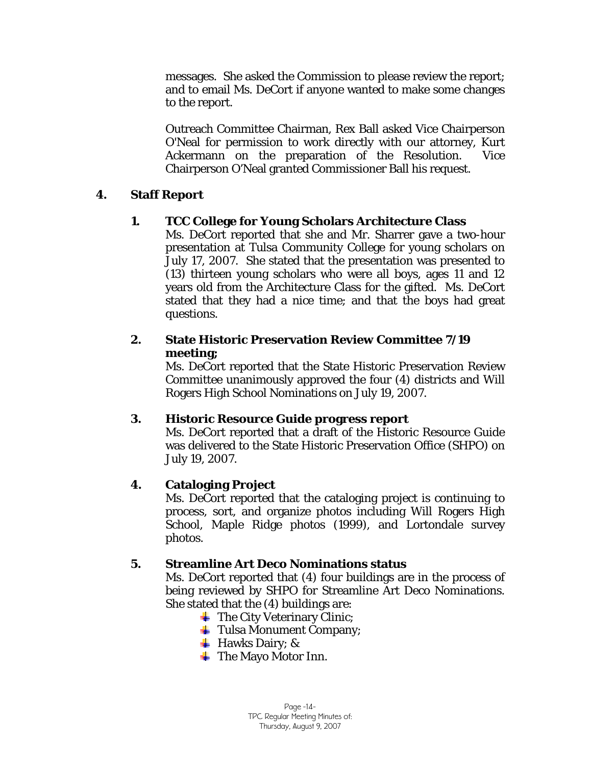messages. She asked the Commission to please review the report; and to email Ms. DeCort if anyone wanted to make some changes to the report.

Outreach Committee Chairman, Rex Ball asked Vice Chairperson O'Neal for permission to work directly with our attorney, Kurt Ackermann on the preparation of the Resolution. Vice Chairperson O'Neal granted Commissioner Ball his request.

# **4. Staff Report**

# **1. TCC College for Young Scholars Architecture Class**

Ms. DeCort reported that she and Mr. Sharrer gave a two-hour presentation at Tulsa Community College for young scholars on July 17, 2007. She stated that the presentation was presented to (13) thirteen young scholars who were all boys, ages 11 and 12 years old from the Architecture Class for the gifted. Ms. DeCort stated that they had a nice time; and that the boys had great questions.

# **2. State Historic Preservation Review Committee 7/19 meeting;**

Ms. DeCort reported that the State Historic Preservation Review Committee unanimously approved the four (4) districts and Will Rogers High School Nominations on July 19, 2007.

## **3. Historic Resource Guide progress report**

Ms. DeCort reported that a draft of the Historic Resource Guide was delivered to the State Historic Preservation Office (SHPO) on July 19, 2007.

## **4. Cataloging Project**

Ms. DeCort reported that the cataloging project is continuing to process, sort, and organize photos including Will Rogers High School, Maple Ridge photos (1999), and Lortondale survey photos.

## **5. Streamline Art Deco Nominations status**

Ms. DeCort reported that (4) four buildings are in the process of being reviewed by SHPO for Streamline Art Deco Nominations. She stated that the (4) buildings are:

- $\qquad$  **The City Veterinary Clinic;**
- $\text{$  **Tulsa Monument Company;**
- $\overline{\phantom{a}}$  Hawks Dairy; &
- $\blacksquare$  The Mayo Motor Inn.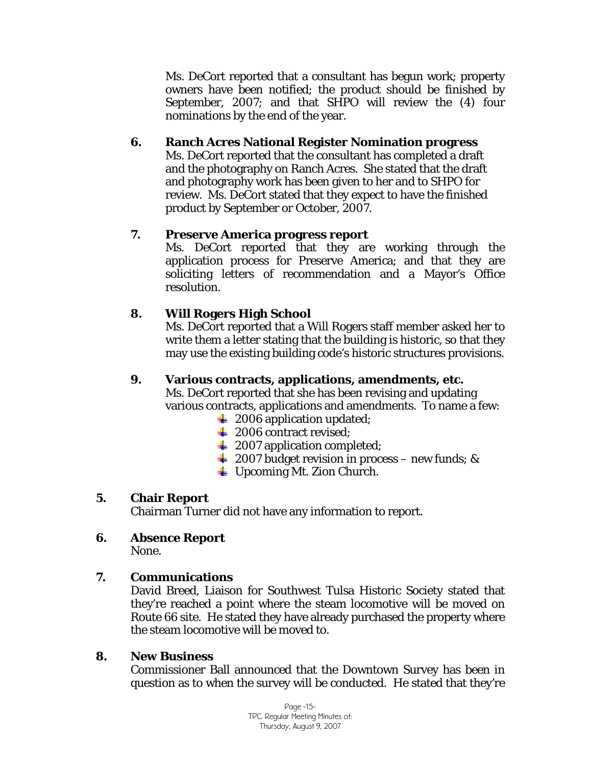Ms. DeCort reported that a consultant has begun work; property owners have been notified; the product should be finished by September, 2007; and that SHPO will review the (4) four nominations by the end of the year.

# **6. Ranch Acres National Register Nomination progress**

Ms. DeCort reported that the consultant has completed a draft and the photography on Ranch Acres. She stated that the draft and photography work has been given to her and to SHPO for review. Ms. DeCort stated that they expect to have the finished product by September or October, 2007.

# **7. Preserve America progress report**

Ms. DeCort reported that they are working through the application process for Preserve America; and that they are soliciting letters of recommendation and a Mayor's Office resolution.

# **8. Will Rogers High School**

Ms. DeCort reported that a Will Rogers staff member asked her to write them a letter stating that the building is historic, so that they may use the existing building code's historic structures provisions.

# **9. Various contracts, applications, amendments, etc.**

Ms. DeCort reported that she has been revising and updating various contracts, applications and amendments. To name a few:

- $\ddot{\bullet}$  2006 application updated;
- $\frac{1}{2006}$  contract revised;
- $\leftarrow$  2007 application completed;
- $\frac{1}{2007}$  budget revision in process new funds; &
- Upcoming Mt. Zion Church.

## **5. Chair Report**

Chairman Turner did not have any information to report.

**6. Absence Report** 

None.

## **7. Communications**

David Breed, Liaison for Southwest Tulsa Historic Society stated that they're reached a point where the steam locomotive will be moved on Route 66 site. He stated they have already purchased the property where the steam locomotive will be moved to.

## **8. New Business**

Commissioner Ball announced that the Downtown Survey has been in question as to when the survey will be conducted. He stated that they're

> Page -15- TPC Regular Meeting Minutes of: Thursday, August 9, 2007